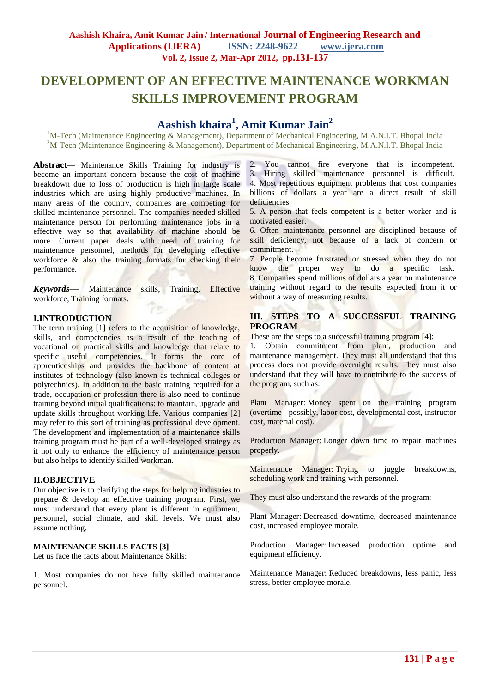# **DEVELOPMENT OF AN EFFECTIVE MAINTENANCE WORKMAN SKILLS IMPROVEMENT PROGRAM**

## **Aashish khaira<sup>1</sup> , Amit Kumar Jain<sup>2</sup>**

<sup>1</sup>M-Tech (Maintenance Engineering & Management), Department of Mechanical Engineering, M.A.N.I.T. Bhopal India <sup>2</sup>M-Tech (Maintenance Engineering & Management), Department of Mechanical Engineering, M.A.N.I.T. Bhopal India

**Abstract***—* Maintenance Skills Training for industry is become an important concern because the cost of machine breakdown due to loss of production is high in large scale industries which are using highly productive machines. In many areas of the country, companies are competing for skilled maintenance personnel. The companies needed skilled maintenance person for performing maintenance jobs in a effective way so that availability of machine should be more .Current paper deals with need of training for maintenance personnel, methods for developing effective workforce & also the training formats for checking their performance.

*Keywords*— Maintenance skills, Training, Effective workforce, Training formats.

## **I.INTRODUCTION**

The term training [1] refers to the acquisition of [knowledge,](http://en.wikipedia.org/wiki/Knowledge) [skills,](http://en.wikipedia.org/wiki/Skill) and [competencies](http://en.wikipedia.org/wiki/Competence_(human_resources)) as a result of the teaching of [vocational](http://en.wikipedia.org/wiki/Vocational_education) or practical skills and knowledge that relate to specific useful competencies. It forms the core of [apprenticeships](http://en.wikipedia.org/wiki/Apprenticeship) and provides the backbone of content at [institutes of technology](http://en.wikipedia.org/wiki/Institute_of_technology) (also known as technical colleges or polytechnics). In addition to the basic training required for a [trade,](http://en.wikipedia.org/wiki/Trade_(profession)) [occupation](http://en.wikipedia.org/wiki/Employment) or [profession](http://en.wikipedia.org/wiki/Profession) there is also need to continue training beyond initial qualifications: to maintain, upgrade and update skills throughout [working life.](http://en.wikipedia.org/wiki/Career) Various companies [2] may refer to this sort of training as [professional development.](http://en.wikipedia.org/wiki/Professional_development) The development and implementation of a maintenance skills training program must be part of a well-developed strategy as it not only to enhance the efficiency of maintenance person but also helps to identify skilled workman.

## **II.OBJECTIVE**

Our objective is to clarifying the steps for helping industries to prepare & develop an effective training program. First, we must understand that every plant is different in equipment, personnel, social climate, and skill levels. We must also assume nothing.

**MAINTENANCE SKILLS FACTS [3]** Let us face the facts about Maintenance Skills:

1. Most companies do not have fully skilled maintenance personnel.

2. You cannot fire everyone that is incompetent. 3. Hiring skilled maintenance personnel is difficult. 4. Most repetitious equipment problems that cost companies billions of dollars a year are a direct result of skill deficiencies.

5. A person that feels competent is a better worker and is motivated easier.

6. Often maintenance personnel are disciplined because of skill deficiency, not because of a lack of concern or commitment.

7. People become frustrated or stressed when they do not know the proper way to do a specific task. 8. Companies spend millions of dollars a year on maintenance training without regard to the results expected from it or without a way of measuring results.

## **III. STEPS TO A SUCCESSFUL TRAINING PROGRAM**

These are the steps to a successful training program [4]:

1. Obtain commitment from plant, production and maintenance management. They must all understand that this process does not provide overnight results. They must also understand that they will have to contribute to the success of the program, such as:

Plant Manager: Money spent on the training program (overtime - possibly, labor cost, developmental cost, instructor cost, material cost).

Production Manager: Longer down time to repair machines properly.

Maintenance Manager: Trying to juggle breakdowns, scheduling work and training with personnel.

They must also understand the rewards of the program:

Plant Manager: Decreased downtime, decreased maintenance cost, increased employee morale.

Production Manager: Increased production uptime and equipment efficiency.

Maintenance Manager: Reduced breakdowns, less panic, less stress, better employee morale.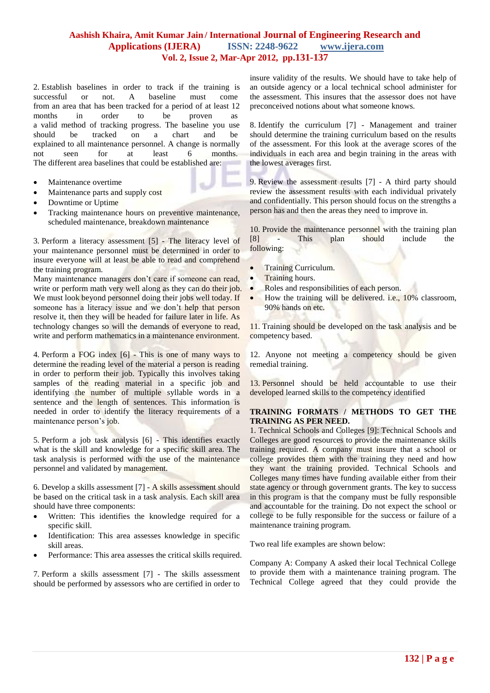2. Establish baselines in order to track if the training is successful or not. A baseline must come from an area that has been tracked for a period of at least 12 months in order to be proven as a valid method of tracking progress. The baseline you use should be tracked on a chart and be explained to all maintenance personnel. A change is normally not seen for at least 6 months. The different area baselines that could be established are:

- Maintenance overtime
- Maintenance parts and supply cost
- Downtime or Uptime
- Tracking maintenance hours on preventive maintenance, scheduled maintenance, breakdown maintenance

3. Perform a literacy assessment [5] - The literacy level of your maintenance personnel must be determined in order to insure everyone will at least be able to read and comprehend the training program.

Many maintenance managers don't care if someone can read, write or perform math very well along as they can do their job. We must look beyond personnel doing their jobs well today. If someone has a literacy issue and we don't help that person resolve it, then they will be headed for failure later in life. As technology changes so will the demands of everyone to read, write and perform mathematics in a maintenance environment.

4. Perform a FOG index [6] - This is one of many ways to determine the reading level of the material a person is reading in order to perform their job. Typically this involves taking samples of the reading material in a specific job and identifying the number of multiple syllable words in a sentence and the length of sentences. This information is needed in order to identify the literacy requirements of a maintenance person's job.

5. Perform a job task analysis [6] - This identifies exactly what is the skill and knowledge for a specific skill area. The task analysis is performed with the use of the maintenance personnel and validated by management.

6. Develop a skills assessment [7] - A skills assessment should be based on the critical task in a task analysis. Each skill area should have three components:

- Written: This identifies the knowledge required for a specific skill.
- Identification: This area assesses knowledge in specific skill areas.
- Performance: This area assesses the critical skills required.

7. Perform a skills assessment [7] - The skills assessment should be performed by assessors who are certified in order to

insure validity of the results. We should have to take help of an outside agency or a local technical school administer for the assessment. This insures that the assessor does not have preconceived notions about what someone knows.

8. Identify the curriculum [7] - Management and trainer should determine the training curriculum based on the results of the assessment. For this look at the average scores of the individuals in each area and begin training in the areas with the lowest averages first.

9. Review the assessment results [7] - A third party should review the assessment results with each individual privately and confidentially. This person should focus on the strengths a person has and then the areas they need to improve in.

10. Provide the maintenance personnel with the training plan [8] - This plan should include the following:

- Training Curriculum.
- Training hours.
- Roles and responsibilities of each person.
- How the training will be delivered. i.e., 10% classroom, 90% hands on etc.

11. Training should be developed on the task analysis and be competency based.

12. Anyone not meeting a competency should be given remedial training.

13. Personnel should be held accountable to use their developed learned skills to the competency identified

## **TRAINING FORMATS / METHODS TO GET THE TRAINING AS PER NEED.**

1. Technical Schools and Colleges [9]: Technical Schools and Colleges are good resources to provide the maintenance skills training required. A company must insure that a school or college provides them with the training they need and how they want the training provided. Technical Schools and Colleges many times have funding available either from their state agency or through government grants. The key to success in this program is that the company must be fully responsible and accountable for the training. Do not expect the school or college to be fully responsible for the success or failure of a maintenance training program.

Two real life examples are shown below:

Company A: Company A asked their local Technical College to provide them with a maintenance training program. The Technical College agreed that they could provide the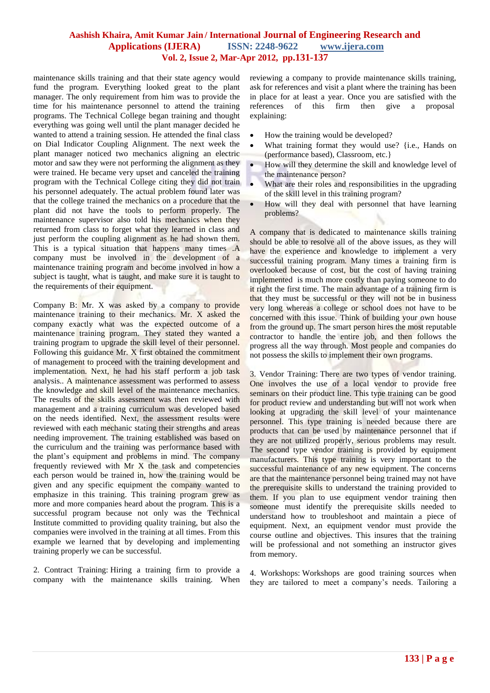maintenance skills training and that their state agency would fund the program. Everything looked great to the plant manager. The only requirement from him was to provide the time for his maintenance personnel to attend the training programs. The Technical College began training and thought everything was going well until the plant manager decided he wanted to attend a training session. He attended the final class on Dial Indicator Coupling Alignment. The next week the plant manager noticed two mechanics aligning an electric motor and saw they were not performing the alignment as they were trained. He became very upset and canceled the training program with the Technical College citing they did not train his personnel adequately. The actual problem found later was that the college trained the mechanics on a procedure that the plant did not have the tools to perform properly. The maintenance supervisor also told his mechanics when they returned from class to forget what they learned in class and just perform the coupling alignment as he had shown them. This is a typical situation that happens many times .A company must be involved in the development of a maintenance training program and become involved in how a subject is taught, what is taught, and make sure it is taught to the requirements of their equipment.

Company B: Mr. X was asked by a company to provide maintenance training to their mechanics. Mr. X asked the company exactly what was the expected outcome of a maintenance training program. They stated they wanted a training program to upgrade the skill level of their personnel. Following this guidance Mr. X first obtained the commitment of management to proceed with the training development and implementation. Next, he had his staff perform a job task analysis.. A maintenance assessment was performed to assess the knowledge and skill level of the maintenance mechanics. The results of the skills assessment was then reviewed with management and a training curriculum was developed based on the needs identified. Next, the assessment results were reviewed with each mechanic stating their strengths and areas needing improvement. The training established was based on the curriculum and the training was performance based with the plant's equipment and problems in mind. The company frequently reviewed with Mr X the task and competencies each person would be trained in, how the training would be given and any specific equipment the company wanted to emphasize in this training. This training program grew as more and more companies heard about the program. This is a successful program because not only was the Technical Institute committed to providing quality training, but also the companies were involved in the training at all times. From this example we learned that by developing and implementing training properly we can be successful.

2. Contract Training: Hiring a training firm to provide a company with the maintenance skills training. When reviewing a company to provide maintenance skills training, ask for references and visit a plant where the training has been in place for at least a year. Once you are satisfied with the references of this firm then give a proposal explaining:

- How the training would be developed?
- What training format they would use? {i.e., Hands on (performance based), Classroom, etc.}
- How will they determine the skill and knowledge level of the maintenance person?
- What are their roles and responsibilities in the upgrading of the skill level in this training program?
- How will they deal with personnel that have learning problems?

A company that is dedicated to maintenance skills training should be able to resolve all of the above issues, as they will have the experience and knowledge to implement a very successful training program. Many times a training firm is overlooked because of cost, but the cost of having training implemented is much more costly than paying someone to do it right the first time. The main advantage of a training firm is that they must be successful or they will not be in business very long whereas a college or school does not have to be concerned with this issue. Think of building your own house from the ground up. The smart person hires the most reputable contractor to handle the entire job, and then follows the progress all the way through. Most people and companies do not possess the skills to implement their own programs.

3. Vendor Training: There are two types of vendor training. One involves the use of a local vendor to provide free seminars on their product line. This type training can be good for product review and understanding but will not work when looking at upgrading the skill level of your maintenance personnel. This type training is needed because there are products that can be used by maintenance personnel that if they are not utilized properly, serious problems may result. The second type vendor training is provided by equipment manufacturers. This type training is very important to the successful maintenance of any new equipment. The concerns are that the maintenance personnel being trained may not have the prerequisite skills to understand the training provided to them. If you plan to use equipment vendor training then someone must identify the prerequisite skills needed to understand how to troubleshoot and maintain a piece of equipment. Next, an equipment vendor must provide the course outline and objectives. This insures that the training will be professional and not something an instructor gives from memory.

4. Workshops: Workshops are good training sources when they are tailored to meet a company's needs. Tailoring a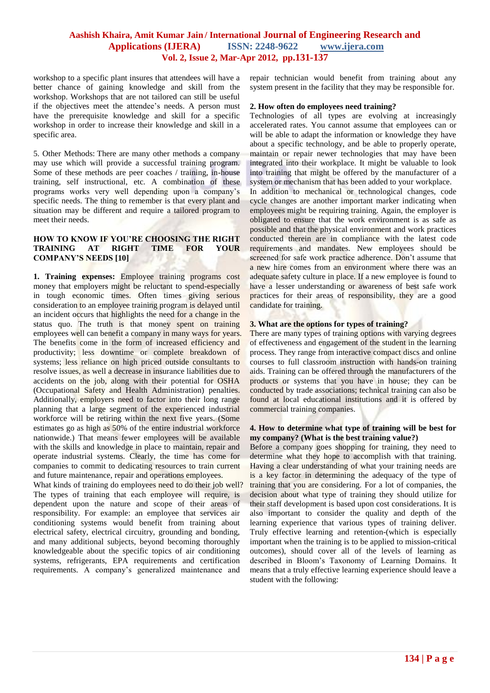workshop to a specific plant insures that attendees will have a better chance of gaining knowledge and skill from the workshop. Workshops that are not tailored can still be useful if the objectives meet the attendee's needs. A person must have the prerequisite knowledge and skill for a specific workshop in order to increase their knowledge and skill in a specific area.

5. Other Methods: There are many other methods a company may use which will provide a successful training program. Some of these methods are peer coaches / training, in-house training, self instructional, etc. A combination of these programs works very well depending upon a company's specific needs. The thing to remember is that every plant and situation may be different and require a tailored program to meet their needs.

## **HOW TO KNOW IF YOU'RE CHOOSING THE RIGHT TRAINING AT RIGHT TIME FOR YOUR COMPANY'S NEEDS [10]**

**1. Training expenses:** Employee training programs cost money that employers might be reluctant to spend-especially in tough economic times. Often times giving serious consideration to an employee training program is delayed until an incident occurs that highlights the need for a change in the status quo. The truth is that money spent on training employees well can benefit a company in many ways for years. The benefits come in the form of increased efficiency and productivity; less downtime or complete breakdown of systems; less reliance on high priced outside consultants to resolve issues, as well a decrease in insurance liabilities due to accidents on the job, along with their potential for OSHA (Occupational Safety and Health Administration) penalties. Additionally, employers need to factor into their long range planning that a large segment of the experienced industrial workforce will be retiring within the next five years. (Some estimates go as high as 50% of the entire industrial workforce nationwide.) That means fewer employees will be available with the skills and knowledge in place to maintain, repair and operate industrial systems. Clearly, the time has come for companies to commit to dedicating resources to train current and future maintenance, repair and operations employees.

What kinds of training do employees need to do their job well? The types of training that each employee will require, is dependent upon the nature and scope of their areas of responsibility. For example: an employee that services air conditioning systems would benefit from training about electrical safety, electrical circuitry, grounding and bonding, and many additional subjects, beyond becoming thoroughly knowledgeable about the specific topics of air conditioning systems, refrigerants, EPA requirements and certification requirements. A company's generalized maintenance and

repair technician would benefit from training about any system present in the facility that they may be responsible for.

#### **2. How often do employees need training?**

Technologies of all types are evolving at increasingly accelerated rates. You cannot assume that employees can or will be able to adapt the information or knowledge they have about a specific technology, and be able to properly operate, maintain or repair newer technologies that may have been integrated into their workplace. It might be valuable to look into training that might be offered by the manufacturer of a system or mechanism that has been added to your workplace. In addition to mechanical or technological changes, code cycle changes are another important marker indicating when employees might be requiring training. Again, the employer is obligated to ensure that the work environment is as safe as possible and that the physical environment and work practices conducted therein are in compliance with the latest code requirements and mandates. New employees should be screened for safe work practice adherence. Don't assume that a new hire comes from an environment where there was an adequate safety culture in place. If a new employee is found to have a lesser understanding or awareness of best safe work practices for their areas of responsibility, they are a good candidate for training.

## **3. What are the options for types of training?**

There are many types of training options with varying degrees of effectiveness and engagement of the student in the learning process. They range from interactive compact discs and online courses to full classroom instruction with hands-on training aids. Training can be offered through the manufacturers of the products or systems that you have in house; they can be conducted by trade associations; technical training can also be found at local educational institutions and it is offered by commercial training companies.

#### **4. How to determine what type of training will be best for my company? (What is the best training value?)**

Before a company goes shopping for training, they need to determine what they hope to accomplish with that training. Having a clear understanding of what your training needs are is a key factor in determining the adequacy of the type of training that you are considering. For a lot of companies, the decision about what type of training they should utilize for their staff development is based upon cost considerations. It is also important to consider the quality and depth of the learning experience that various types of training deliver. Truly effective learning and retention-(which is especially important when the training is to be applied to mission-critical outcomes), should cover all of the levels of learning as described in Bloom's Taxonomy of Learning Domains. It means that a truly effective learning experience should leave a student with the following: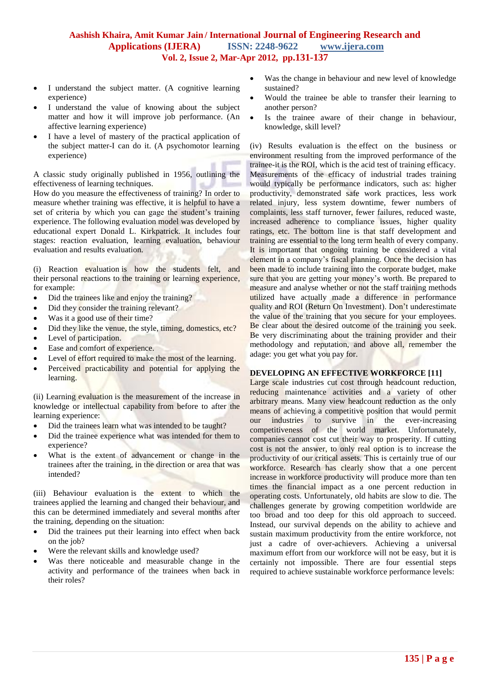- I understand the subject matter. (A cognitive learning experience)
- I understand the value of knowing about the subject matter and how it will improve job performance. (An affective learning experience)
- I have a level of mastery of the practical application of the subject matter-I can do it. (A psychomotor learning experience)

A classic study originally published in 1956, outlining the effectiveness of learning techniques.

How do you measure the effectiveness of training? In order to measure whether training was effective, it is helpful to have a set of criteria by which you can gage the student's training experience. The following evaluation model was developed by educational expert Donald L. Kirkpatrick. It includes four stages: reaction evaluation, learning evaluation, behaviour evaluation and results evaluation.

(i) Reaction evaluation is how the students felt, and their personal reactions to the training or learning experience, for example:

- Did the trainees like and enjoy the training?
- Did they consider the training relevant?
- Was it a good use of their time?
- Did they like the venue, the style, timing, domestics, etc?
- Level of participation.
- Ease and comfort of experience.
- Level of effort required to make the most of the learning.
- Perceived practicability and potential for applying the learning.

(ii) Learning evaluation is the measurement of the increase in knowledge or intellectual capability from before to after the learning experience:

- Did the trainees learn what was intended to be taught?
- Did the trainee experience what was intended for them to experience?
- What is the extent of advancement or change in the trainees after the training, in the direction or area that was intended?

(iii) Behaviour evaluation is the extent to which the trainees applied the learning and changed their behaviour, and this can be determined immediately and several months after the training, depending on the situation:

- Did the trainees put their learning into effect when back on the job?
- Were the relevant skills and knowledge used?
- Was there noticeable and measurable change in the activity and performance of the trainees when back in their roles?
- Was the change in behaviour and new level of knowledge sustained?
- Would the trainee be able to transfer their learning to another person?
- Is the trainee aware of their change in behaviour, knowledge, skill level?

(iv) Results evaluation is the effect on the business or environment resulting from the improved performance of the trainee-it is the ROI, which is the acid test of training efficacy. Measurements of the efficacy of industrial trades training would typically be performance indicators, such as: higher productivity, demonstrated safe work practices, less work related injury, less system downtime, fewer numbers of complaints, less staff turnover, fewer failures, reduced waste, increased adherence to compliance issues, higher quality ratings, etc. The bottom line is that staff development and training are essential to the long term health of every company. It is important that ongoing training be considered a vital element in a company's fiscal planning. Once the decision has been made to include training into the corporate budget, make sure that you are getting your money's worth. Be prepared to measure and analyse whether or not the staff training methods utilized have actually made a difference in performance quality and ROI (Return On Investment). Don't underestimate the value of the training that you secure for your employees. Be clear about the desired outcome of the training you seek. Be very discriminating about the training provider and their methodology and reputation, and above all, remember the adage: you get what you pay for.

## **DEVELOPING AN EFFECTIVE WORKFORCE [11]**

Large scale industries cut cost through headcount reduction, reducing maintenance activities and a variety of other arbitrary means. Many view headcount reduction as the only means of achieving a competitive position that would permit our industries to survive in the ever-increasing competitiveness of the world market. Unfortunately, companies cannot cost cut their way to prosperity. If cutting cost is not the answer, to only real option is to increase the productivity of our critical assets. This is certainly true of our workforce. Research has clearly show that a one percent increase in workforce productivity will produce more than ten times the financial impact as a one percent reduction in operating costs. Unfortunately, old habits are slow to die. The challenges generate by growing competition worldwide are too broad and too deep for this old approach to succeed. Instead, our survival depends on the ability to achieve and sustain maximum productivity from the entire workforce, not just a cadre of over-achievers. Achieving a universal maximum effort from our workforce will not be easy, but it is certainly not impossible. There are four essential steps required to achieve sustainable workforce performance levels: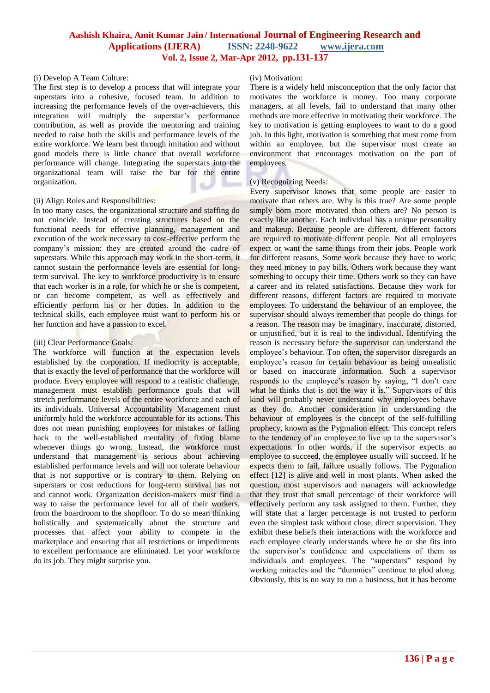#### (i) Develop A Team Culture:

The first step is to develop a process that will integrate your superstars into a cohesive, focused team. In addition to increasing the performance levels of the over-achievers, this integration will multiply the superstar's performance contribution, as well as provide the mentoring and training needed to raise both the skills and performance levels of the entire workforce. We learn best through imitation and without good models there is little chance that overall workforce performance will change. Integrating the superstars into the organizational team will raise the bar for the entire organization.

#### (ii) Align Roles and Responsibilities:

In too many cases, the organizational structure and staffing do not coincide. Instead of creating structures based on the functional needs for effective planning, management and execution of the work necessary to cost-effective perform the company's mission; they are created around the cadre of superstars. While this approach may work in the short-term, it cannot sustain the performance levels are essential for longterm survival. The key to workforce productivity is to ensure that each worker is in a role, for which he or she is competent, or can become competent, as well as effectively and efficiently perform his or her duties. In addition to the technical skills, each employee must want to perform his or her function and have a passion to excel.

## (iii) Clear Performance Goals:

The workforce will function at the expectation levels established by the corporation. If mediocrity is acceptable, that is exactly the level of performance that the workforce will produce. Every employee will respond to a realistic challenge, management must establish performance goals that will stretch performance levels of the entire workforce and each of its individuals. Universal Accountability Management must uniformly hold the workforce accountable for its actions. This does not mean punishing employees for mistakes or falling back to the well-established mentality of fixing blame whenever things go wrong. Instead, the workforce must understand that management is serious about achieving established performance levels and will not tolerate behaviour that is not supportive or is contrary to them. Relying on superstars or cost reductions for long-term survival has not and cannot work. Organization decision-makers must find a way to raise the performance level for all of their workers, from the boardroom to the shopfloor. To do so mean thinking holistically and systematically about the structure and processes that affect your ability to compete in the marketplace and ensuring that all restrictions or impediments to excellent performance are eliminated. Let your workforce do its job. They might surprise you.

## (iv) Motivation:

There is a widely held misconception that the only factor that motivates the workforce is money. Too many corporate managers, at all levels, fail to understand that many other methods are more effective in motivating their workforce. The key to motivation is getting employees to want to do a good job. In this light, motivation is something that must come from within an employee, but the supervisor must create an environment that encourages motivation on the part of employees.

## (v) Recognizing Needs:

Every supervisor knows that some people are easier to motivate than others are. Why is this true? Are some people simply born more motivated than others are? No person is exactly like another. Each individual has a unique personality and makeup. Because people are different, different factors are required to motivate different people. Not all employees expect or want the same things from their jobs. People work for different reasons. Some work because they have to work; they need money to pay bills. Others work because they want something to occupy their time. Others work so they can have a career and its related satisfactions. Because they work for different reasons, different factors are required to motivate employees. To understand the behaviour of an employee, the supervisor should always remember that people do things for a reason. The reason may be imaginary, inaccurate, distorted, or unjustified, but it is real to the individual. Identifying the reason is necessary before the supervisor can understand the employee's behaviour. Too often, the supervisor disregards an employee's reason for certain behaviour as being unrealistic or based on inaccurate information. Such a supervisor responds to the employee's reason by saying, "I don't care what he thinks that is not the way it is." Supervisors of this kind will probably never understand why employees behave as they do. Another consideration in understanding the behaviour of employees is the concept of the self-fulfilling prophecy, known as the Pygmalion effect. This concept refers to the tendency of an employee to live up to the supervisor's expectations. In other words, if the supervisor expects an employee to succeed, the employee usually will succeed. If he expects them to fail, failure usually follows. The Pygmalion effect [12] is alive and well in most plants. When asked the question, most supervisors and managers will acknowledge that they trust that small percentage of their workforce will effectively perform any task assigned to them. Further, they will state that a larger percentage is not trusted to perform even the simplest task without close, direct supervision. They exhibit these beliefs their interactions with the workforce and each employee clearly understands where he or she fits into the supervisor's confidence and expectations of them as individuals and employees. The "superstars" respond by working miracles and the "dummies" continue to plod along. Obviously, this is no way to run a business, but it has become